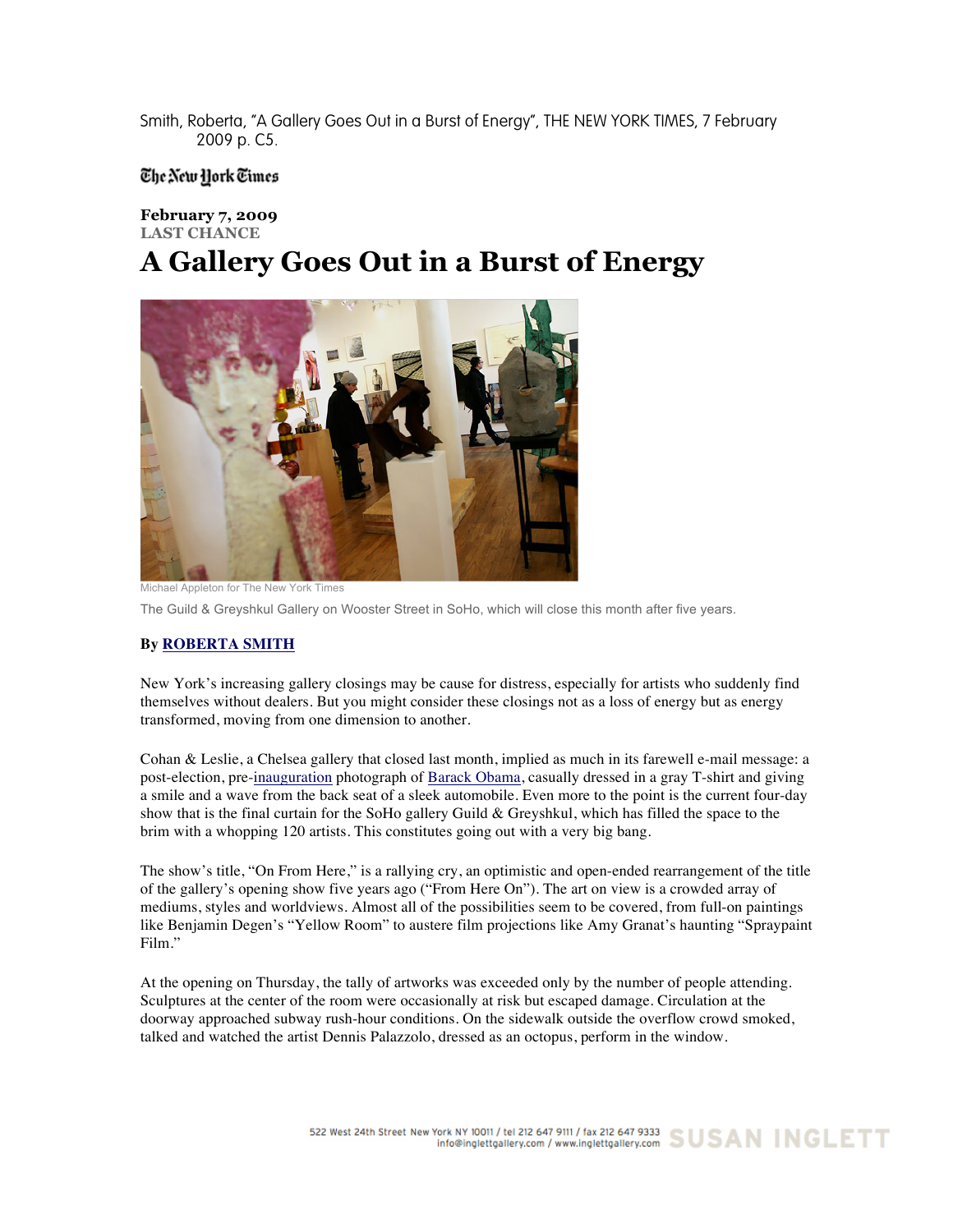Smith, Roberta, "A Gallery Goes Out in a Burst of Energy", THE NEW YORK TIMES, 7 February 2009 p. C5.

The New Hork Times

**February 7, 2009 LAST CHANCE**

## **A Gallery Goes Out in a Burst of Energy**



Michael Appleton for The New York Times The Guild & Greyshkul Gallery on Wooster Street in SoHo, which will close this month after five years.

## **By ROBERTA SMITH**

New York's increasing gallery closings may be cause for distress, especially for artists who suddenly find themselves without dealers. But you might consider these closings not as a loss of energy but as energy transformed, moving from one dimension to another.

Cohan & Leslie, a Chelsea gallery that closed last month, implied as much in its farewell e-mail message: a post-election, pre-inauguration photograph of Barack Obama, casually dressed in a gray T-shirt and giving a smile and a wave from the back seat of a sleek automobile. Even more to the point is the current four-day show that is the final curtain for the SoHo gallery Guild & Greyshkul, which has filled the space to the brim with a whopping 120 artists. This constitutes going out with a very big bang.

The show's title, "On From Here," is a rallying cry, an optimistic and open-ended rearrangement of the title of the gallery's opening show five years ago ("From Here On"). The art on view is a crowded array of mediums, styles and worldviews. Almost all of the possibilities seem to be covered, from full-on paintings like Benjamin Degen's "Yellow Room" to austere film projections like Amy Granat's haunting "Spraypaint Film."

At the opening on Thursday, the tally of artworks was exceeded only by the number of people attending. Sculptures at the center of the room were occasionally at risk but escaped damage. Circulation at the doorway approached subway rush-hour conditions. On the sidewalk outside the overflow crowd smoked, talked and watched the artist Dennis Palazzolo, dressed as an octopus, perform in the window.